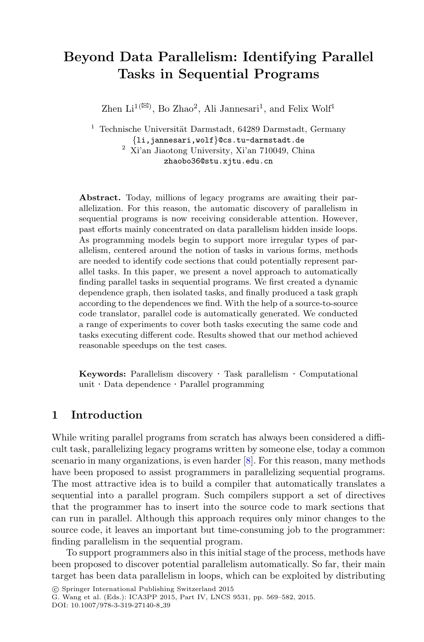# **Beyond Data Parallelism: Identifying Parallel Tasks in Sequential Programs**

Zhen  $\mathrm{Li}^{1(\boxtimes)},$ Bo Zhao $^2,$  Ali Jannesari $^1,$  and Felix Wolf $^1$ 

<sup>1</sup> Technische Universität Darmstadt, 64289 Darmstadt, Germany *{*li,jannesari,wolf*}*@cs.tu-darmstadt.de <sup>2</sup> Xi'an Jiaotong University, Xi'an 710049, China

zhaobo36@stu.xjtu.edu.cn

**Abstract.** Today, millions of legacy programs are awaiting their parallelization. For this reason, the automatic discovery of parallelism in sequential programs is now receiving considerable attention. However, past efforts mainly concentrated on data parallelism hidden inside loops. As programming models begin to support more irregular types of parallelism, centered around the notion of tasks in various forms, methods are needed to identify code sections that could potentially represent parallel tasks. In this paper, we present a novel approach to automatically finding parallel tasks in sequential programs. We first created a dynamic dependence graph, then isolated tasks, and finally produced a task graph according to the dependences we find. With the help of a source-to-source code translator, parallel code is automatically generated. We conducted a range of experiments to cover both tasks executing the same code and tasks executing different code. Results showed that our method achieved reasonable speedups on the test cases.

**Keywords:** Parallelism discovery *·* Task parallelism *·* Computational unit *·* Data dependence *·* Parallel programming

# <span id="page-0-0"></span>**1 Introduction**

While writing parallel programs from scratch has always been considered a difficult task, parallelizing legacy programs written by someone else, today a common scenario in many organizations, is even harder [\[8\]](#page-12-0). For this reason, many methods have been proposed to assist programmers in parallelizing sequential programs. The most attractive idea is to build a compiler that automatically translates a sequential into a parallel program. Such compilers support a set of directives that the programmer has to insert into the source code to mark sections that can run in parallel. Although this approach requires only minor changes to the source code, it leaves an important but time-consuming job to the programmer: finding parallelism in the sequential program.

To support programmers also in this initial stage of the process, methods have been proposed to discover potential parallelism automatically. So far, their main target has been data parallelism in loops, which can be exploited by distributing

-c Springer International Publishing Switzerland 2015

G. Wang et al. (Eds.): ICA3PP 2015, Part IV, LNCS 9531, pp. 569–582, 2015. DOI: 10.1007/978-3-319-27140-8 39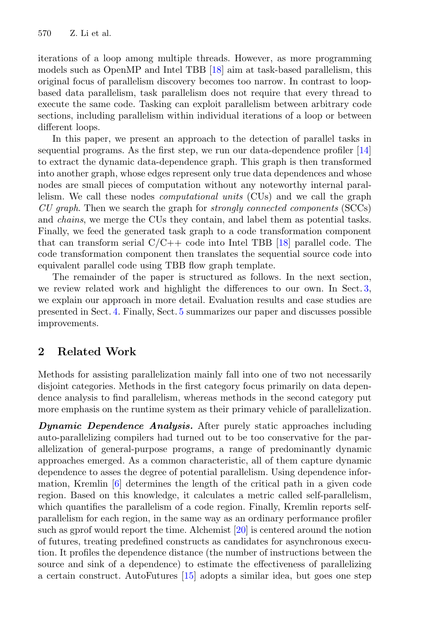iterations of a loop among multiple threads. However, as more programming models such as OpenMP and Intel TBB [\[18\]](#page-13-0) aim at task-based parallelism, this original focus of parallelism discovery becomes too narrow. In contrast to loopbased data parallelism, task parallelism does not require that every thread to execute the same code. Tasking can exploit parallelism between arbitrary code sections, including parallelism within individual iterations of a loop or between different loops.

In this paper, we present an approach to the detection of parallel tasks in sequential programs. As the first step, we run our data-dependence profiler [\[14](#page-13-1)] to extract the dynamic data-dependence graph. This graph is then transformed into another graph, whose edges represent only true data dependences and whose nodes are small pieces of computation without any noteworthy internal parallelism. We call these nodes *computational units* (CUs) and we call the graph *CU graph*. Then we search the graph for *strongly connected components* (SCCs) and *chains*, we merge the CUs they contain, and label them as potential tasks. Finally, we feed the generated task graph to a code transformation component that can transform serial  $C/C++$  code into Intel TBB [\[18\]](#page-13-0) parallel code. The code transformation component then translates the sequential source code into equivalent parallel code using TBB flow graph template.

The remainder of the paper is structured as follows. In the next section, we review related work and highlight the differences to our own. In Sect. [3,](#page-2-0) we explain our approach in more detail. Evaluation results and case studies are presented in Sect. [4.](#page-8-0) Finally, Sect. [5](#page-11-0) summarizes our paper and discusses possible improvements.

# **2 Related Work**

Methods for assisting parallelization mainly fall into one of two not necessarily disjoint categories. Methods in the first category focus primarily on data dependence analysis to find parallelism, whereas methods in the second category put more emphasis on the runtime system as their primary vehicle of parallelization.

*Dynamic Dependence Analysis.* After purely static approaches including auto-parallelizing compilers had turned out to be too conservative for the parallelization of general-purpose programs, a range of predominantly dynamic approaches emerged. As a common characteristic, all of them capture dynamic dependence to asses the degree of potential parallelism. Using dependence information, Kremlin [\[6\]](#page-12-1) determines the length of the critical path in a given code region. Based on this knowledge, it calculates a metric called self-parallelism, which quantifies the parallelism of a code region. Finally, Kremlin reports selfparallelism for each region, in the same way as an ordinary performance profiler such as gprof would report the time. Alchemist [\[20\]](#page-13-2) is centered around the notion of futures, treating predefined constructs as candidates for asynchronous execution. It profiles the dependence distance (the number of instructions between the source and sink of a dependence) to estimate the effectiveness of parallelizing a certain construct. AutoFutures [\[15\]](#page-13-3) adopts a similar idea, but goes one step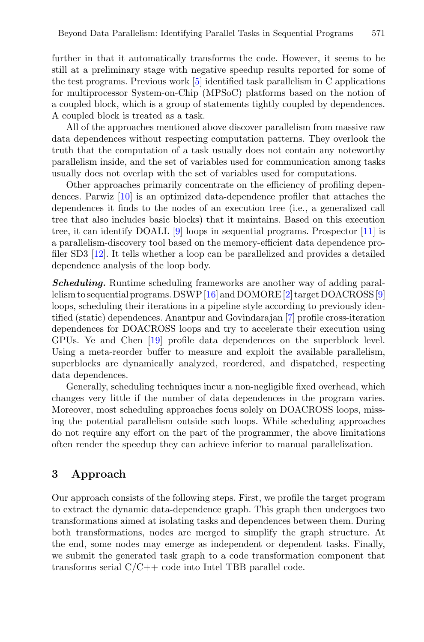further in that it automatically transforms the code. However, it seems to be still at a preliminary stage with negative speedup results reported for some of the test programs. Previous work [\[5](#page-12-2)] identified task parallelism in C applications for multiprocessor System-on-Chip (MPSoC) platforms based on the notion of a coupled block, which is a group of statements tightly coupled by dependences. A coupled block is treated as a task.

All of the approaches mentioned above discover parallelism from massive raw data dependences without respecting computation patterns. They overlook the truth that the computation of a task usually does not contain any noteworthy parallelism inside, and the set of variables used for communication among tasks usually does not overlap with the set of variables used for computations.

Other approaches primarily concentrate on the efficiency of profiling dependences. Parwiz [\[10\]](#page-13-4) is an optimized data-dependence profiler that attaches the dependences it finds to the nodes of an execution tree (i.e., a generalized call tree that also includes basic blocks) that it maintains. Based on this execution tree, it can identify DOALL [\[9\]](#page-13-5) loops in sequential programs. Prospector [\[11\]](#page-13-6) is a parallelism-discovery tool based on the memory-efficient data dependence profiler SD3 [\[12](#page-13-7)]. It tells whether a loop can be parallelized and provides a detailed dependence analysis of the loop body.

*Scheduling.* Runtime scheduling frameworks are another way of adding parallelism to sequential programs. DSWP [\[16\]](#page-13-8) and DOMORE [\[2\]](#page-12-3) target DOACROSS [\[9\]](#page-13-5) loops, scheduling their iterations in a pipeline style according to previously identified (static) dependences. Anantpur and Govindarajan [\[7](#page-12-4)] profile cross-iteration dependences for DOACROSS loops and try to accelerate their execution using GPUs. Ye and Chen [\[19](#page-13-9)] profile data dependences on the superblock level. Using a meta-reorder buffer to measure and exploit the available parallelism, superblocks are dynamically analyzed, reordered, and dispatched, respecting data dependences.

Generally, scheduling techniques incur a non-negligible fixed overhead, which changes very little if the number of data dependences in the program varies. Moreover, most scheduling approaches focus solely on DOACROSS loops, missing the potential parallelism outside such loops. While scheduling approaches do not require any effort on the part of the programmer, the above limitations often render the speedup they can achieve inferior to manual parallelization.

# <span id="page-2-0"></span>**3 Approach**

Our approach consists of the following steps. First, we profile the target program to extract the dynamic data-dependence graph. This graph then undergoes two transformations aimed at isolating tasks and dependences between them. During both transformations, nodes are merged to simplify the graph structure. At the end, some nodes may emerge as independent or dependent tasks. Finally, we submit the generated task graph to a code transformation component that transforms serial C/C++ code into Intel TBB parallel code.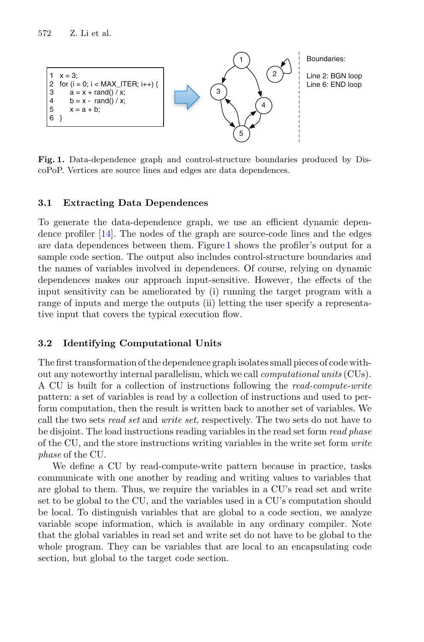

<span id="page-3-0"></span>**Fig. 1.** Data-dependence graph and control-structure boundaries produced by DiscoPoP. Vertices are source lines and edges are data dependences.

#### **3.1 Extracting Data Dependences**

To generate the data-dependence graph, we use an efficient dynamic dependence profiler [\[14\]](#page-13-1). The nodes of the graph are source-code lines and the edges are data dependences between them. Figure [1](#page-3-0) shows the profiler's output for a sample code section. The output also includes control-structure boundaries and the names of variables involved in dependences. Of course, relying on dynamic dependences makes our approach input-sensitive. However, the effects of the input sensitivity can be ameliorated by (i) running the target program with a range of inputs and merge the outputs (ii) letting the user specify a representative input that covers the typical execution flow.

#### **3.2 Identifying Computational Units**

The first transformation of the dependence graph isolates small pieces of code without any noteworthy internal parallelism, which we call *computational units* (CUs). A CU is built for a collection of instructions following the *read-compute-write* pattern: a set of variables is read by a collection of instructions and used to perform computation, then the result is written back to another set of variables. We call the two sets *read set* and *write set*, respectively. The two sets do not have to be disjoint. The load instructions reading variables in the read set form *read phase* of the CU, and the store instructions writing variables in the write set form *write phase* of the CU.

We define a CU by read-compute-write pattern because in practice, tasks communicate with one another by reading and writing values to variables that are global to them. Thus, we require the variables in a CU's read set and write set to be global to the CU, and the variables used in a CU's computation should be local. To distinguish variables that are global to a code section, we analyze variable scope information, which is available in any ordinary compiler. Note that the global variables in read set and write set do not have to be global to the whole program. They can be variables that are local to an encapsulating code section, but global to the target code section.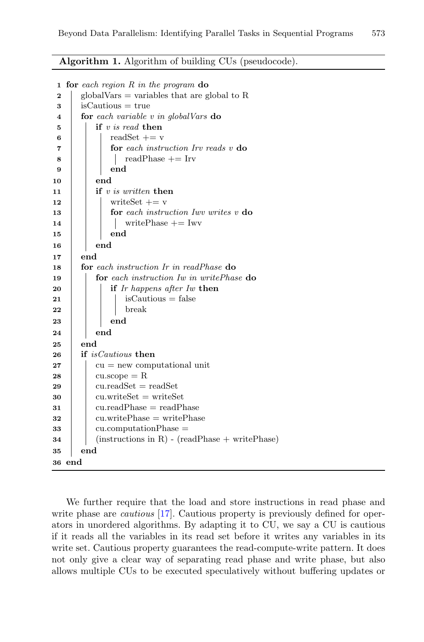#### **Algorithm 1.** Algorithm of building CUs (pseudocode).

```
1 for each region R in the program do
2 globalVars = variables that are global to R
3 isCautious = true
4 for each variable v in globalVars do
5 if v is read then
\mathbf{6} | | readSet += \mathbf{v}7 for each instruction Irv reads v do
8 | | | | readPhase += Irv
9 end
10 end
11 if v is written then
12 | writeSet +=v13 for each instruction Iwv writes v do
14 writePhase += Iwv
15 end
16 end
17 end
18 for each instruction Ir in readPhase do
19 for each instruction Iw in writePhase do
20 if Ir happens after Iw then
21 | | isCautious = false
22 | | | break
23 end
24 end
25 end
26 if isCautious then
27 \vert cu = new computational unit
28 cu.scope = R
29 cu.readSet = readSet
30 cu.writeSet = writeSet
31 cu.readPhase = readPhase
32 cu.writePhase = writePhase
33 cu.computationPhase =
34 (instructions in R) - (readPhase + writePhase)
35 end
36 end
```
We further require that the load and store instructions in read phase and write phase are *cautious* [\[17\]](#page-13-10). Cautious property is previously defined for operators in unordered algorithms. By adapting it to CU, we say a CU is cautious if it reads all the variables in its read set before it writes any variables in its write set. Cautious property guarantees the read-compute-write pattern. It does not only give a clear way of separating read phase and write phase, but also allows multiple CUs to be executed speculatively without buffering updates or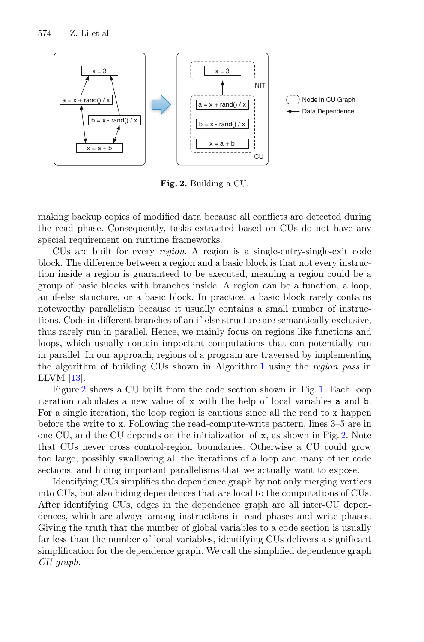

<span id="page-5-0"></span>**Fig. 2.** Building a CU.

making backup copies of modified data because all conflicts are detected during the read phase. Consequently, tasks extracted based on CUs do not have any special requirement on runtime frameworks.

CUs are built for every *region*. A region is a single-entry-single-exit code block. The difference between a region and a basic block is that not every instruction inside a region is guaranteed to be executed, meaning a region could be a group of basic blocks with branches inside. A region can be a function, a loop, an if-else structure, or a basic block. In practice, a basic block rarely contains noteworthy parallelism because it usually contains a small number of instructions. Code in different branches of an if-else structure are semantically exclusive, thus rarely run in parallel. Hence, we mainly focus on regions like functions and loops, which usually contain important computations that can potentially run in parallel. In our approach, regions of a program are traversed by implementing the algorithm of building CUs shown in Algorithm [1](#page-4-0) using the *region pass* in LLVM [\[13](#page-13-11)].

Figure [2](#page-5-0) shows a CU built from the code section shown in Fig. [1.](#page-3-0) Each loop iteration calculates a new value of x with the help of local variables a and b. For a single iteration, the loop region is cautious since all the read to x happen before the write to x. Following the read-compute-write pattern, lines 3–5 are in one CU, and the CU depends on the initialization of x, as shown in Fig. [2.](#page-5-0) Note that CUs never cross control-region boundaries. Otherwise a CU could grow too large, possibly swallowing all the iterations of a loop and many other code sections, and hiding important parallelisms that we actually want to expose.

Identifying CUs simplifies the dependence graph by not only merging vertices into CUs, but also hiding dependences that are local to the computations of CUs. After identifying CUs, edges in the dependence graph are all inter-CU dependences, which are always among instructions in read phases and write phases. Giving the truth that the number of global variables to a code section is usually far less than the number of local variables, identifying CUs delivers a significant simplification for the dependence graph. We call the simplified dependence graph *CU graph*.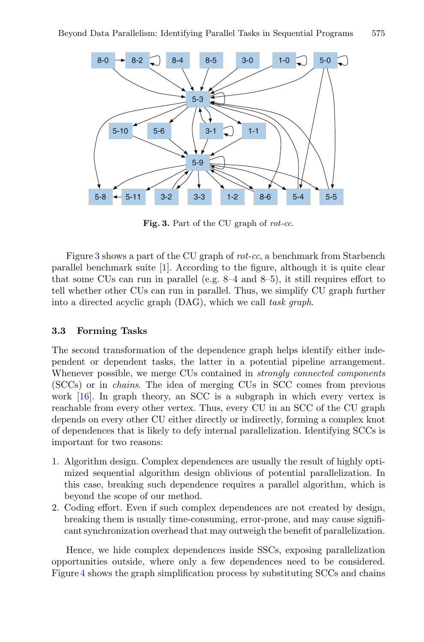

<span id="page-6-0"></span>**Fig. 3.** Part of the CU graph of *rot-cc*.

Figure [3](#page-6-0) shows a part of the CU graph of *rot-cc*, a benchmark from Starbench parallel benchmark suite [\[1\]](#page-12-5). According to the figure, although it is quite clear that some CUs can run in parallel (e.g.  $8-4$  and  $8-5$ ), it still requires effort to tell whether other CUs can run in parallel. Thus, we simplify CU graph further into a directed acyclic graph (DAG), which we call *task graph*.

#### **3.3 Forming Tasks**

The second transformation of the dependence graph helps identify either independent or dependent tasks, the latter in a potential pipeline arrangement. Whenever possible, we merge CUs contained in *strongly connected components* (SCCs) or in *chains*. The idea of merging CUs in SCC comes from previous work [\[16](#page-13-8)]. In graph theory, an SCC is a subgraph in which every vertex is reachable from every other vertex. Thus, every CU in an SCC of the CU graph depends on every other CU either directly or indirectly, forming a complex knot of dependences that is likely to defy internal parallelization. Identifying SCCs is important for two reasons:

- 1. Algorithm design. Complex dependences are usually the result of highly optimized sequential algorithm design oblivious of potential parallelization. In this case, breaking such dependence requires a parallel algorithm, which is beyond the scope of our method.
- 2. Coding effort. Even if such complex dependences are not created by design, breaking them is usually time-consuming, error-prone, and may cause significant synchronization overhead that may outweigh the benefit of parallelization.

Hence, we hide complex dependences inside SSCs, exposing parallelization opportunities outside, where only a few dependences need to be considered. Figure [4](#page-7-0) shows the graph simplification process by substituting SCCs and chains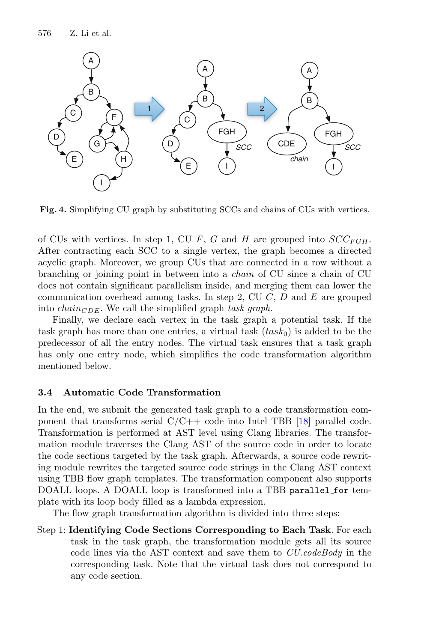

<span id="page-7-0"></span>**Fig. 4.** Simplifying CU graph by substituting SCCs and chains of CUs with vertices.

of CUs with vertices. In step 1, CU  $F$ ,  $G$  and  $H$  are grouped into  $SCC_{FGH}$ . After contracting each SCC to a single vertex, the graph becomes a directed acyclic graph. Moreover, we group CUs that are connected in a row without a branching or joining point in between into a *chain* of CU since a chain of CU does not contain significant parallelism inside, and merging them can lower the communication overhead among tasks. In step 2, CU *C*, *D* and *E* are grouped into *chainCDE*. We call the simplified graph *task graph*.

Finally, we declare each vertex in the task graph a potential task. If the task graph has more than one entries, a virtual task  $(task<sub>0</sub>)$  is added to be the predecessor of all the entry nodes. The virtual task ensures that a task graph has only one entry node, which simplifies the code transformation algorithm mentioned below.

### **3.4 Automatic Code Transformation**

In the end, we submit the generated task graph to a code transformation component that transforms serial  $C/C++$  code into Intel TBB [\[18\]](#page-13-0) parallel code. Transformation is performed at AST level using Clang libraries. The transformation module traverses the Clang AST of the source code in order to locate the code sections targeted by the task graph. Afterwards, a source code rewriting module rewrites the targeted source code strings in the Clang AST context using TBB flow graph templates. The transformation component also supports DOALL loops. A DOALL loop is transformed into a TBB parallel for template with its loop body filled as a lambda expression.

The flow graph transformation algorithm is divided into three steps:

Step 1: **Identifying Code Sections Corresponding to Each Task**. For each task in the task graph, the transformation module gets all its source code lines via the AST context and save them to *CU.codeBody* in the corresponding task. Note that the virtual task does not correspond to any code section.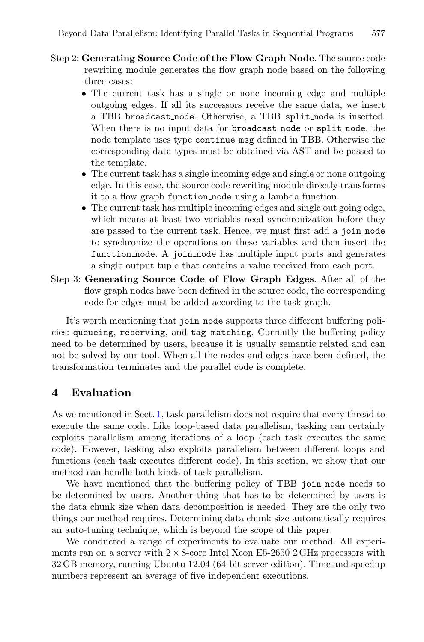- Step 2: **Generating Source Code of the Flow Graph Node**. The source code rewriting module generates the flow graph node based on the following three cases:
	- The current task has a single or none incoming edge and multiple outgoing edges. If all its successors receive the same data, we insert a TBB broadcast node. Otherwise, a TBB split node is inserted. When there is no input data for broadcast node or split node, the node template uses type continue msg defined in TBB. Otherwise the corresponding data types must be obtained via AST and be passed to the template.
	- The current task has a single incoming edge and single or none outgoing edge. In this case, the source code rewriting module directly transforms it to a flow graph function node using a lambda function.
	- The current task has multiple incoming edges and single out going edge, which means at least two variables need synchronization before they are passed to the current task. Hence, we must first add a join node to synchronize the operations on these variables and then insert the function node. A join node has multiple input ports and generates a single output tuple that contains a value received from each port.
- Step 3: **Generating Source Code of Flow Graph Edges**. After all of the flow graph nodes have been defined in the source code, the corresponding code for edges must be added according to the task graph.

It's worth mentioning that join node supports three different buffering policies: queueing, reserving, and tag matching. Currently the buffering policy need to be determined by users, because it is usually semantic related and can not be solved by our tool. When all the nodes and edges have been defined, the transformation terminates and the parallel code is complete.

## <span id="page-8-0"></span>**4 Evaluation**

As we mentioned in Sect. [1,](#page-0-0) task parallelism does not require that every thread to execute the same code. Like loop-based data parallelism, tasking can certainly exploits parallelism among iterations of a loop (each task executes the same code). However, tasking also exploits parallelism between different loops and functions (each task executes different code). In this section, we show that our method can handle both kinds of task parallelism.

We have mentioned that the buffering policy of TBB join node needs to be determined by users. Another thing that has to be determined by users is the data chunk size when data decomposition is needed. They are the only two things our method requires. Determining data chunk size automatically requires an auto-tuning technique, which is beyond the scope of this paper.

We conducted a range of experiments to evaluate our method. All experiments ran on a server with 2 *×* 8-core Intel Xeon E5-2650 2 GHz processors with 32 GB memory, running Ubuntu 12.04 (64-bit server edition). Time and speedup numbers represent an average of five independent executions.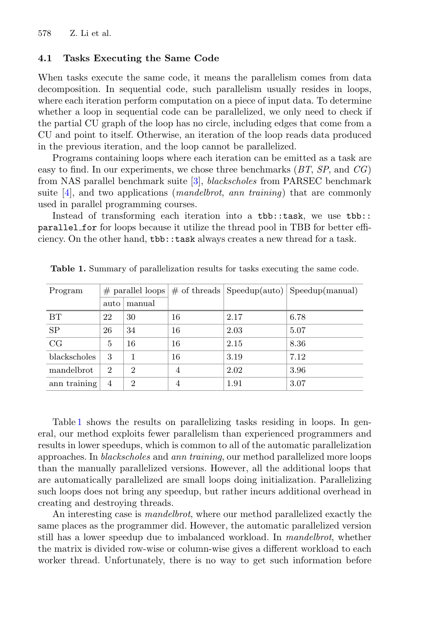#### **4.1 Tasks Executing the Same Code**

When tasks execute the same code, it means the parallelism comes from data decomposition. In sequential code, such parallelism usually resides in loops, where each iteration perform computation on a piece of input data. To determine whether a loop in sequential code can be parallelized, we only need to check if the partial CU graph of the loop has no circle, including edges that come from a CU and point to itself. Otherwise, an iteration of the loop reads data produced in the previous iteration, and the loop cannot be parallelized.

Programs containing loops where each iteration can be emitted as a task are easy to find. In our experiments, we chose three benchmarks (*BT*, *SP*, and *CG*) from NAS parallel benchmark suite [\[3](#page-12-6)], *blackscholes* from PARSEC benchmark suite [\[4\]](#page-12-7), and two applications (*mandelbrot*, *ann training*) that are commonly used in parallel programming courses.

Instead of transforming each iteration into a  $tbb::$  task, we use  $tbbb::$ parallel for for loops because it utilize the thread pool in TBB for better efficiency. On the other hand, tbb::task always creates a new thread for a task.

| Program      |                |                |                |      | $\#$ parallel loops $\#$ of threads Speedup(auto) Speedup(manual) |
|--------------|----------------|----------------|----------------|------|-------------------------------------------------------------------|
|              | auto           | manual         |                |      |                                                                   |
| BT           | 22             | 30             | 16             | 2.17 | 6.78                                                              |
| SP           | 26             | 34             | 16             | 2.03 | 5.07                                                              |
| CG           | 5              | 16             | 16             | 2.15 | 8.36                                                              |
| blackscholes | 3              |                | 16             | 3.19 | 7.12                                                              |
| mandelbrot   | $\overline{2}$ | $\overline{2}$ | $\overline{4}$ | 2.02 | 3.96                                                              |
| ann training | $\overline{4}$ | $\overline{2}$ | $\overline{4}$ | 1.91 | 3.07                                                              |

<span id="page-9-0"></span>**Table 1.** Summary of parallelization results for tasks executing the same code.

Table [1](#page-9-0) shows the results on parallelizing tasks residing in loops. In general, our method exploits fewer parallelism than experienced programmers and results in lower speedups, which is common to all of the automatic parallelization approaches. In *blackscholes* and *ann training*, our method parallelized more loops than the manually parallelized versions. However, all the additional loops that are automatically parallelized are small loops doing initialization. Parallelizing such loops does not bring any speedup, but rather incurs additional overhead in creating and destroying threads.

An interesting case is *mandelbrot*, where our method parallelized exactly the same places as the programmer did. However, the automatic parallelized version still has a lower speedup due to imbalanced workload. In *mandelbrot*, whether the matrix is divided row-wise or column-wise gives a different workload to each worker thread. Unfortunately, there is no way to get such information before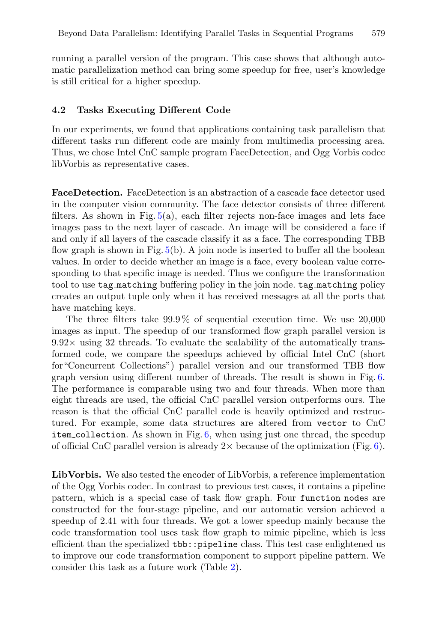running a parallel version of the program. This case shows that although automatic parallelization method can bring some speedup for free, user's knowledge is still critical for a higher speedup.

#### **4.2 Tasks Executing Different Code**

In our experiments, we found that applications containing task parallelism that different tasks run different code are mainly from multimedia processing area. Thus, we chose Intel CnC sample program FaceDetection, and Ogg Vorbis codec libVorbis as representative cases.

**FaceDetection.** FaceDetection is an abstraction of a cascade face detector used in the computer vision community. The face detector consists of three different filters. As shown in Fig.  $5(a)$  $5(a)$ , each filter rejects non-face images and lets face images pass to the next layer of cascade. An image will be considered a face if and only if all layers of the cascade classify it as a face. The corresponding TBB flow graph is shown in Fig.  $5(b)$  $5(b)$ . A join node is inserted to buffer all the boolean values. In order to decide whether an image is a face, every boolean value corresponding to that specific image is needed. Thus we configure the transformation tool to use tag matching buffering policy in the join node. tag matching policy creates an output tuple only when it has received messages at all the ports that have matching keys.

The three filters take 99.9 % of sequential execution time. We use 20,000 images as input. The speedup of our transformed flow graph parallel version is  $9.92\times$  using 32 threads. To evaluate the scalability of the automatically transformed code, we compare the speedups achieved by official Intel CnC (short for"Concurrent Collections") parallel version and our transformed TBB flow graph version using different number of threads. The result is shown in Fig. [6.](#page-11-2) The performance is comparable using two and four threads. When more than eight threads are used, the official CnC parallel version outperforms ours. The reason is that the official CnC parallel code is heavily optimized and restructured. For example, some data structures are altered from vector to CnC item collection. As shown in Fig.  $6$ , when using just one thread, the speedup of official CnC parallel version is already  $2\times$  because of the optimization (Fig. [6\)](#page-11-2).

**LibVorbis.** We also tested the encoder of LibVorbis, a reference implementation of the Ogg Vorbis codec. In contrast to previous test cases, it contains a pipeline pattern, which is a special case of task flow graph. Four function nodes are constructed for the four-stage pipeline, and our automatic version achieved a speedup of 2.41 with four threads. We got a lower speedup mainly because the code transformation tool uses task flow graph to mimic pipeline, which is less efficient than the specialized  $tbb:$  pipeline class. This test case enlightened us to improve our code transformation component to support pipeline pattern. We consider this task as a future work (Table [2\)](#page-11-3).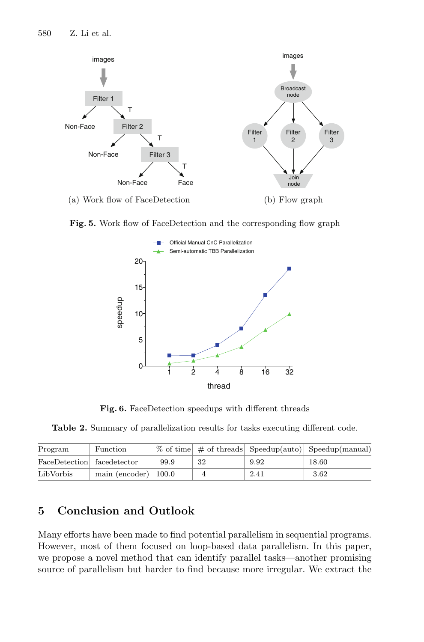

<span id="page-11-1"></span>Fig. 5. Work flow of FaceDetection and the corresponding flow graph



**Fig. 6.** FaceDetection speedups with different threads

<span id="page-11-2"></span>**Table 2.** Summary of parallelization results for tasks executing different code.

<span id="page-11-3"></span>

| Program                    | Function                        |      |    |      | $%$ of time $\#$ of threads Speedup(auto) Speedup(manual) |
|----------------------------|---------------------------------|------|----|------|-----------------------------------------------------------|
| FaceDetection facedetector |                                 | 99.9 | 32 | 9.92 | 18.60                                                     |
| LibVorbis                  | $\text{main}$ (encoder)   100.0 |      |    | 2.41 | 3.62                                                      |

# <span id="page-11-0"></span>**5 Conclusion and Outlook**

Many efforts have been made to find potential parallelism in sequential programs. However, most of them focused on loop-based data parallelism. In this paper, we propose a novel method that can identify parallel tasks—another promising source of parallelism but harder to find because more irregular. We extract the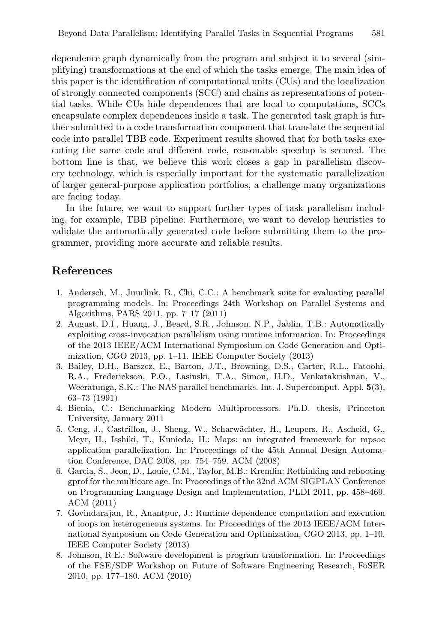dependence graph dynamically from the program and subject it to several (simplifying) transformations at the end of which the tasks emerge. The main idea of this paper is the identification of computational units (CUs) and the localization of strongly connected components (SCC) and chains as representations of potential tasks. While CUs hide dependences that are local to computations, SCCs encapsulate complex dependences inside a task. The generated task graph is further submitted to a code transformation component that translate the sequential code into parallel TBB code. Experiment results showed that for both tasks executing the same code and different code, reasonable speedup is secured. The bottom line is that, we believe this work closes a gap in parallelism discovery technology, which is especially important for the systematic parallelization of larger general-purpose application portfolios, a challenge many organizations are facing today.

In the future, we want to support further types of task parallelism including, for example, TBB pipeline. Furthermore, we want to develop heuristics to validate the automatically generated code before submitting them to the programmer, providing more accurate and reliable results.

## <span id="page-12-5"></span>**References**

- 1. Andersch, M., Juurlink, B., Chi, C.C.: A benchmark suite for evaluating parallel programming models. In: Proceedings 24th Workshop on Parallel Systems and Algorithms, PARS 2011, pp. 7–17 (2011)
- <span id="page-12-3"></span>2. August, D.I., Huang, J., Beard, S.R., Johnson, N.P., Jablin, T.B.: Automatically exploiting cross-invocation parallelism using runtime information. In: Proceedings of the 2013 IEEE/ACM International Symposium on Code Generation and Optimization, CGO 2013, pp. 1–11. IEEE Computer Society (2013)
- <span id="page-12-6"></span>3. Bailey, D.H., Barszcz, E., Barton, J.T., Browning, D.S., Carter, R.L., Fatoohi, R.A., Frederickson, P.O., Lasinski, T.A., Simon, H.D., Venkatakrishnan, V., Weeratunga, S.K.: The NAS parallel benchmarks. Int. J. Supercomput. Appl. **5**(3), 63–73 (1991)
- <span id="page-12-7"></span>4. Bienia, C.: Benchmarking Modern Multiprocessors. Ph.D. thesis, Princeton University, January 2011
- <span id="page-12-2"></span>5. Ceng, J., Castrillon, J., Sheng, W., Scharw¨achter, H., Leupers, R., Ascheid, G., Meyr, H., Isshiki, T., Kunieda, H.: Maps: an integrated framework for mpsoc application parallelization. In: Proceedings of the 45th Annual Design Automation Conference, DAC 2008, pp. 754–759. ACM (2008)
- <span id="page-12-1"></span>6. Garcia, S., Jeon, D., Louie, C.M., Taylor, M.B.: Kremlin: Rethinking and rebooting gprof for the multicore age. In: Proceedings of the 32nd ACM SIGPLAN Conference on Programming Language Design and Implementation, PLDI 2011, pp. 458–469. ACM (2011)
- <span id="page-12-4"></span>7. Govindarajan, R., Anantpur, J.: Runtime dependence computation and execution of loops on heterogeneous systems. In: Proceedings of the 2013 IEEE/ACM International Symposium on Code Generation and Optimization, CGO 2013, pp. 1–10. IEEE Computer Society (2013)
- <span id="page-12-0"></span>8. Johnson, R.E.: Software development is program transformation. In: Proceedings of the FSE/SDP Workshop on Future of Software Engineering Research, FoSER 2010, pp. 177–180. ACM (2010)